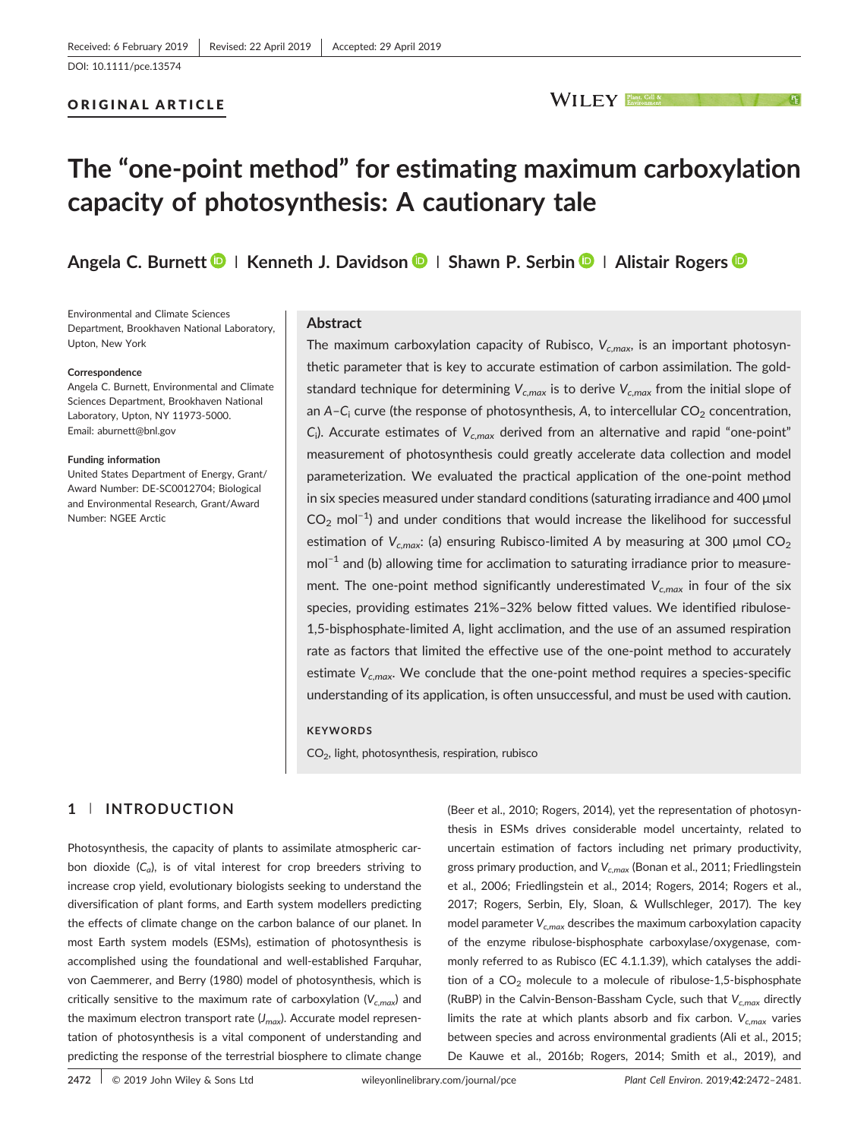## ORIGINAL ARTICLE

# The "one‐point method" for estimating maximum carboxylation capacity of photosynthesis: A cautionary tale

Angela C. Burnett  $\blacksquare$  | Kenneth J. Davidson  $\blacksquare$  | Shawn P. Serbin  $\blacksquare$  | Alistair Rogers  $\blacksquare$ 

Environmental and Climate Sciences Department, Brookhaven National Laboratory, Upton, New York

#### **Correspondence**

Angela C. Burnett, Environmental and Climate Sciences Department, Brookhaven National Laboratory, Upton, NY 11973-5000. Email: aburnett@bnl.gov

#### Funding information

United States Department of Energy, Grant/ Award Number: DE‐SC0012704; Biological and Environmental Research, Grant/Award Number: NGEE Arctic

#### Abstract

The maximum carboxylation capacity of Rubisco,  $V_{c,max}$ , is an important photosynthetic parameter that is key to accurate estimation of carbon assimilation. The gold‐ standard technique for determining  $V_{c,max}$  is to derive  $V_{c,max}$  from the initial slope of an  $A - C_i$  curve (the response of photosynthesis, A, to intercellular  $CO_2$  concentration,  $C_i$ ). Accurate estimates of  $V_{c,max}$  derived from an alternative and rapid "one-point" measurement of photosynthesis could greatly accelerate data collection and model parameterization. We evaluated the practical application of the one‐point method in six species measured under standard conditions (saturating irradiance and 400 μmol  $CO<sub>2</sub>$  mol<sup>-1</sup>) and under conditions that would increase the likelihood for successful estimation of  $V_{c,max}$ : (a) ensuring Rubisco-limited A by measuring at 300 µmol CO<sub>2</sub> mol<sup>-1</sup> and (b) allowing time for acclimation to saturating irradiance prior to measurement. The one-point method significantly underestimated  $V_{c,max}$  in four of the six species, providing estimates 21%-32% below fitted values. We identified ribulose-1,5‐bisphosphate‐limited A, light acclimation, and the use of an assumed respiration rate as factors that limited the effective use of the one‐point method to accurately estimate  $V_{c,max}$ . We conclude that the one-point method requires a species-specific understanding of its application, is often unsuccessful, and must be used with caution.

#### **KEYWORDS**

CO2, light, photosynthesis, respiration, rubisco

# 1 | INTRODUCTION

Photosynthesis, the capacity of plants to assimilate atmospheric carbon dioxide  $(C_a)$ , is of vital interest for crop breeders striving to increase crop yield, evolutionary biologists seeking to understand the diversification of plant forms, and Earth system modellers predicting the effects of climate change on the carbon balance of our planet. In most Earth system models (ESMs), estimation of photosynthesis is accomplished using the foundational and well‐established Farquhar, von Caemmerer, and Berry (1980) model of photosynthesis, which is critically sensitive to the maximum rate of carboxylation ( $V_{c,max}$ ) and the maximum electron transport rate  $(J_{max})$ . Accurate model representation of photosynthesis is a vital component of understanding and predicting the response of the terrestrial biosphere to climate change

(Beer et al., 2010; Rogers, 2014), yet the representation of photosynthesis in ESMs drives considerable model uncertainty, related to uncertain estimation of factors including net primary productivity, gross primary production, and  $V_{c,max}$  (Bonan et al., 2011; Friedlingstein et al., 2006; Friedlingstein et al., 2014; Rogers, 2014; Rogers et al., 2017; Rogers, Serbin, Ely, Sloan, & Wullschleger, 2017). The key model parameter  $V_{c,max}$  describes the maximum carboxylation capacity of the enzyme ribulose‐bisphosphate carboxylase/oxygenase, commonly referred to as Rubisco (EC 4.1.1.39), which catalyses the addition of a  $CO<sub>2</sub>$  molecule to a molecule of ribulose-1,5-bisphosphate (RuBP) in the Calvin-Benson-Bassham Cycle, such that  $V_{c,max}$  directly limits the rate at which plants absorb and fix carbon.  $V_{c,max}$  varies between species and across environmental gradients (Ali et al., 2015; De Kauwe et al., 2016b; Rogers, 2014; Smith et al., 2019), and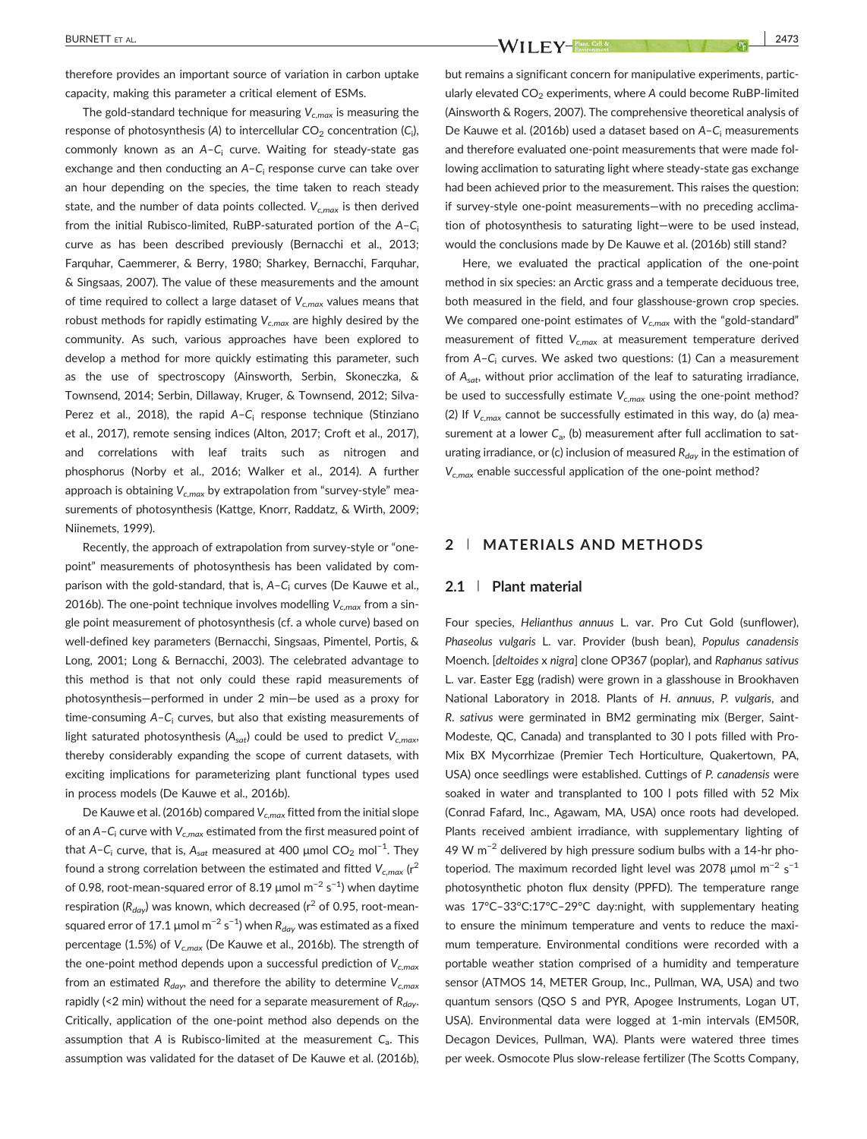therefore provides an important source of variation in carbon uptake capacity, making this parameter a critical element of ESMs.

The gold-standard technique for measuring  $V_{c,max}$  is measuring the response of photosynthesis (A) to intercellular CO $_2$  concentration (C $_{\rm i}$ ), commonly known as an  $A-C_i$  curve. Waiting for steady-state gas exchange and then conducting an A-C<sub>i</sub> response curve can take over an hour depending on the species, the time taken to reach steady state, and the number of data points collected.  $V_{c,max}$  is then derived from the initial Rubisco-limited, RuBP-saturated portion of the  $A-C_i$ curve as has been described previously (Bernacchi et al., 2013; Farquhar, Caemmerer, & Berry, 1980; Sharkey, Bernacchi, Farquhar, & Singsaas, 2007). The value of these measurements and the amount of time required to collect a large dataset of  $V_{c,max}$  values means that robust methods for rapidly estimating  $V_{c,max}$  are highly desired by the community. As such, various approaches have been explored to develop a method for more quickly estimating this parameter, such as the use of spectroscopy (Ainsworth, Serbin, Skoneczka, & Townsend, 2014; Serbin, Dillaway, Kruger, & Townsend, 2012; Silva‐ Perez et al., 2018), the rapid  $A - C_i$  response technique (Stinziano et al., 2017), remote sensing indices (Alton, 2017; Croft et al., 2017), and correlations with leaf traits such as nitrogen and phosphorus (Norby et al., 2016; Walker et al., 2014). A further approach is obtaining  $V_{cmax}$  by extrapolation from "survey-style" measurements of photosynthesis (Kattge, Knorr, Raddatz, & Wirth, 2009; Niinemets, 1999).

Recently, the approach of extrapolation from survey‐style or "one‐ point" measurements of photosynthesis has been validated by comparison with the gold-standard, that is, A-C<sub>i</sub> curves (De Kauwe et al., 2016b). The one-point technique involves modelling  $V_{c,max}$  from a single point measurement of photosynthesis (cf. a whole curve) based on well-defined key parameters (Bernacchi, Singsaas, Pimentel, Portis, & Long, 2001; Long & Bernacchi, 2003). The celebrated advantage to this method is that not only could these rapid measurements of photosynthesis—performed in under 2 min—be used as a proxy for time-consuming  $A - C_i$  curves, but also that existing measurements of light saturated photosynthesis ( $A<sub>sat</sub>$ ) could be used to predict  $V<sub>c,max</sub>$ , thereby considerably expanding the scope of current datasets, with exciting implications for parameterizing plant functional types used in process models (De Kauwe et al., 2016b).

De Kauwe et al. (2016b) compared  $V_{c,max}$  fitted from the initial slope of an A–C<sub>i</sub> curve with  $V_{c,max}$  estimated from the first measured point of that A–C<sub>i</sub> curve, that is, A<sub>sat</sub> measured at 400  $\mu$ mol CO<sub>2</sub> mol<sup>−1</sup>. They found a strong correlation between the estimated and fitted  $V_{c,max}$  ( $r^2$ of 0.98, root-mean-squared error of 8.19 μmol m $^{-2}$  s $^{-1}$ ) when daytime respiration ( $R_{\text{dav}}$ ) was known, which decreased ( $r^2$  of 0.95, root-meansquared error of 17.1 μmol m $^{-2}$  s $^{-1}$ ) when  $R_{\mathit{day}}$  was estimated as a fixed percentage (1.5%) of  $V_{c,max}$  (De Kauwe et al., 2016b). The strength of the one-point method depends upon a successful prediction of  $V_{c,max}$ from an estimated  $R_{day}$ , and therefore the ability to determine  $V_{cmax}$ rapidly (<2 min) without the need for a separate measurement of  $R_{\text{dav}}$ . Critically, application of the one‐point method also depends on the assumption that A is Rubisco-limited at the measurement  $C_a$ . This assumption was validated for the dataset of De Kauwe et al. (2016b),

BURNETT ET AL.  $\frac{1}{2473}$ 

but remains a significant concern for manipulative experiments, particularly elevated  $CO<sub>2</sub>$  experiments, where A could become RuBP-limited (Ainsworth & Rogers, 2007). The comprehensive theoretical analysis of De Kauwe et al. (2016b) used a dataset based on A-C<sub>i</sub> measurements and therefore evaluated one‐point measurements that were made following acclimation to saturating light where steady-state gas exchange had been achieved prior to the measurement. This raises the question: if survey‐style one‐point measurements—with no preceding acclimation of photosynthesis to saturating light—were to be used instead, would the conclusions made by De Kauwe et al. (2016b) still stand?

Here, we evaluated the practical application of the one‐point method in six species: an Arctic grass and a temperate deciduous tree, both measured in the field, and four glasshouse‐grown crop species. We compared one-point estimates of  $V_{c,max}$  with the "gold-standard" measurement of fitted  $V_{c,max}$  at measurement temperature derived from  $A-C_i$  curves. We asked two questions: (1) Can a measurement of  $A_{sat}$ , without prior acclimation of the leaf to saturating irradiance, be used to successfully estimate  $V_{c,max}$  using the one-point method? (2) If  $V_{c,max}$  cannot be successfully estimated in this way, do (a) measurement at a lower  $C_{a}$ , (b) measurement after full acclimation to saturating irradiance, or (c) inclusion of measured  $R_{day}$  in the estimation of  $V_{c,max}$  enable successful application of the one-point method?

## 2 | MATERIALS AND METHODS

## 2.1 | Plant material

Four species, Helianthus annuus L. var. Pro Cut Gold (sunflower), Phaseolus vulgaris L. var. Provider (bush bean), Populus canadensis Moench. [deltoides x nigra] clone OP367 (poplar), and Raphanus sativus L. var. Easter Egg (radish) were grown in a glasshouse in Brookhaven National Laboratory in 2018. Plants of H. annuus, P. vulgaris, and R. sativus were germinated in BM2 germinating mix (Berger, Saint‐ Modeste, QC, Canada) and transplanted to 30 l pots filled with Pro-Mix BX Mycorrhizae (Premier Tech Horticulture, Quakertown, PA, USA) once seedlings were established. Cuttings of P. canadensis were soaked in water and transplanted to 100 l pots filled with 52 Mix (Conrad Fafard, Inc., Agawam, MA, USA) once roots had developed. Plants received ambient irradiance, with supplementary lighting of 49 W m−<sup>2</sup> delivered by high pressure sodium bulbs with a 14‐hr photoperiod. The maximum recorded light level was 2078  $\mu$ mol m<sup>-2</sup> s<sup>-1</sup> photosynthetic photon flux density (PPFD). The temperature range was 17°C–33°C:17°C–29°C day:night, with supplementary heating to ensure the minimum temperature and vents to reduce the maximum temperature. Environmental conditions were recorded with a portable weather station comprised of a humidity and temperature sensor (ATMOS 14, METER Group, Inc., Pullman, WA, USA) and two quantum sensors (QSO S and PYR, Apogee Instruments, Logan UT, USA). Environmental data were logged at 1-min intervals (EM50R, Decagon Devices, Pullman, WA). Plants were watered three times per week. Osmocote Plus slow-release fertilizer (The Scotts Company,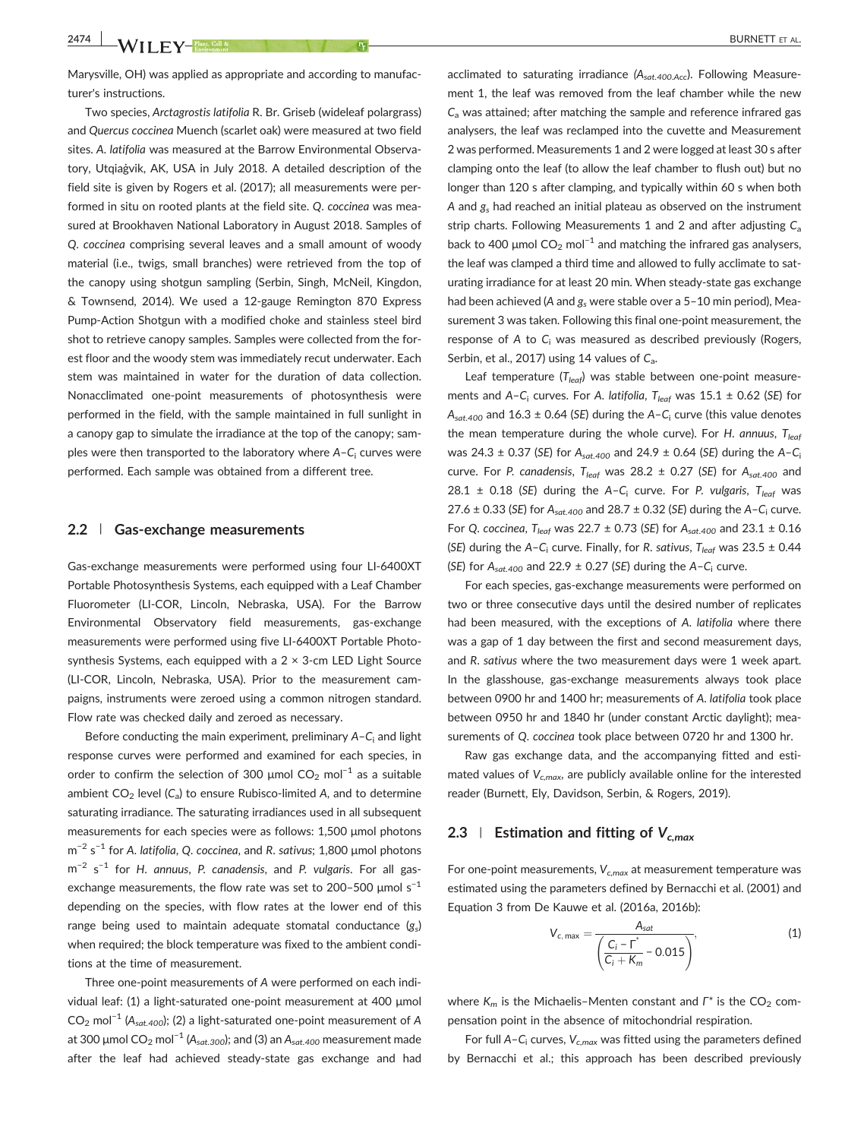Marysville, OH) was applied as appropriate and according to manufacturer's instructions.

Two species, Arctagrostis latifolia R. Br. Griseb (wideleaf polargrass) and Quercus coccinea Muench (scarlet oak) were measured at two field sites. A. latifolia was measured at the Barrow Environmental Observatory, Utqiaġvik, AK, USA in July 2018. A detailed description of the field site is given by Rogers et al. (2017); all measurements were performed in situ on rooted plants at the field site. Q. coccinea was measured at Brookhaven National Laboratory in August 2018. Samples of Q. coccinea comprising several leaves and a small amount of woody material (i.e., twigs, small branches) were retrieved from the top of the canopy using shotgun sampling (Serbin, Singh, McNeil, Kingdon, & Townsend, 2014). We used a 12‐gauge Remington 870 Express Pump‐Action Shotgun with a modified choke and stainless steel bird shot to retrieve canopy samples. Samples were collected from the forest floor and the woody stem was immediately recut underwater. Each stem was maintained in water for the duration of data collection. Nonacclimated one‐point measurements of photosynthesis were performed in the field, with the sample maintained in full sunlight in a canopy gap to simulate the irradiance at the top of the canopy; samples were then transported to the laboratory where  $A-C<sub>i</sub>$  curves were performed. Each sample was obtained from a different tree.

#### 2.2 | Gas-exchange measurements

Gas‐exchange measurements were performed using four LI‐6400XT Portable Photosynthesis Systems, each equipped with a Leaf Chamber Fluorometer (LI‐COR, Lincoln, Nebraska, USA). For the Barrow Environmental Observatory field measurements, gas-exchange measurements were performed using five LI‐6400XT Portable Photosynthesis Systems, each equipped with a 2 × 3-cm LED Light Source (LI‐COR, Lincoln, Nebraska, USA). Prior to the measurement campaigns, instruments were zeroed using a common nitrogen standard. Flow rate was checked daily and zeroed as necessary.

Before conducting the main experiment, preliminary  $A - C_i$  and light response curves were performed and examined for each species, in order to confirm the selection of 300 µmol  $CO_2$  mol<sup>-1</sup> as a suitable ambient  $CO<sub>2</sub>$  level  $(C<sub>a</sub>)$  to ensure Rubisco-limited A, and to determine saturating irradiance. The saturating irradiances used in all subsequent measurements for each species were as follows: 1,500 μmol photons m<sup>-2</sup> s<sup>-1</sup> for A. latifolia, Q. coccinea, and R. sativus; 1,800 µmol photons m<sup>-2</sup> s<sup>-1</sup> for H. annuus, P. canadensis, and P. vulgaris. For all gasexchange measurements, the flow rate was set to 200–500  $\mu$ mol s<sup>-1</sup> depending on the species, with flow rates at the lower end of this range being used to maintain adequate stomatal conductance  $(g_s)$ when required; the block temperature was fixed to the ambient conditions at the time of measurement.

Three one‐point measurements of A were performed on each individual leaf: (1) a light‐saturated one‐point measurement at 400 μmol CO<sub>2</sub> mol<sup>-1</sup> (A<sub>sat.400</sub>); (2) a light-saturated one-point measurement of A at 300 μmol  $CO_2$  mol<sup>-1</sup> (A<sub>sat.300</sub>); and (3) an A<sub>sat.400</sub> measurement made after the leaf had achieved steady‐state gas exchange and had

acclimated to saturating irradiance  $(A_{sat.400.Acc})$ . Following Measurement 1, the leaf was removed from the leaf chamber while the new  $C<sub>a</sub>$  was attained; after matching the sample and reference infrared gas analysers, the leaf was reclamped into the cuvette and Measurement 2 was performed. Measurements 1 and 2 were logged at least 30 s after clamping onto the leaf (to allow the leaf chamber to flush out) but no longer than 120 s after clamping, and typically within 60 s when both A and  $g_s$  had reached an initial plateau as observed on the instrument strip charts. Following Measurements 1 and 2 and after adjusting  $C_a$ back to 400 µmol  $CO_2$  mol<sup>-1</sup> and matching the infrared gas analysers, the leaf was clamped a third time and allowed to fully acclimate to saturating irradiance for at least 20 min. When steady‐state gas exchange had been achieved (A and  $g_s$  were stable over a 5-10 min period), Measurement 3 was taken. Following this final one‐point measurement, the response of A to  $C_i$  was measured as described previously (Rogers, Serbin, et al., 2017) using 14 values of  $C_a$ .

Leaf temperature ( $T_{leaf}$ ) was stable between one-point measurements and A-C<sub>i</sub> curves. For A. latifolia,  $T_{leaf}$  was 15.1  $\pm$  0.62 (SE) for  $A_{sat,400}$  and 16.3 ± 0.64 (SE) during the A-C<sub>i</sub> curve (this value denotes the mean temperature during the whole curve). For H. annuus,  $T_{leaf}$ was 24.3 ± 0.37 (SE) for  $A_{sat,400}$  and 24.9 ± 0.64 (SE) during the A-C<sub>i</sub> curve. For P. canadensis,  $T_{leaf}$  was 28.2  $\pm$  0.27 (SE) for A<sub>sat.400</sub> and 28.1  $\pm$  0.18 (SE) during the A-C<sub>i</sub> curve. For P. vulgaris, T<sub>leaf</sub> was 27.6  $\pm$  0.33 (SE) for  $A_{sat.400}$  and 28.7  $\pm$  0.32 (SE) during the A-C<sub>i</sub> curve. For Q. coccinea, T<sub>leaf</sub> was 22.7  $\pm$  0.73 (SE) for A<sub>sat.400</sub> and 23.1  $\pm$  0.16 (SE) during the A-C<sub>i</sub> curve. Finally, for R. sativus, T<sub>leaf</sub> was 23.5  $\pm$  0.44 (SE) for  $A_{sat,400}$  and 22.9 ± 0.27 (SE) during the A-C<sub>i</sub> curve.

For each species, gas‐exchange measurements were performed on two or three consecutive days until the desired number of replicates had been measured, with the exceptions of A. latifolia where there was a gap of 1 day between the first and second measurement days, and R. sativus where the two measurement days were 1 week apart. In the glasshouse, gas‐exchange measurements always took place between 0900 hr and 1400 hr; measurements of A. latifolia took place between 0950 hr and 1840 hr (under constant Arctic daylight); measurements of Q. coccinea took place between 0720 hr and 1300 hr.

Raw gas exchange data, and the accompanying fitted and estimated values of  $V_{c,max}$ , are publicly available online for the interested reader (Burnett, Ely, Davidson, Serbin, & Rogers, 2019).

# 2.3 Estimation and fitting of  $V_{c,max}$

For one-point measurements,  $V_{c,max}$  at measurement temperature was estimated using the parameters defined by Bernacchi et al. (2001) and Equation 3 from De Kauwe et al. (2016a, 2016b):

$$
V_{c, \max} = \frac{A_{sat}}{\left(\frac{C_i - \Gamma^*}{C_i + K_m} - 0.015\right)},
$$
\n(1)

where  $K_m$  is the Michaelis-Menten constant and  $\Gamma^*$  is the CO<sub>2</sub> compensation point in the absence of mitochondrial respiration.

For full A–C<sub>i</sub> curves,  $V_{c,max}$  was fitted using the parameters defined by Bernacchi et al.; this approach has been described previously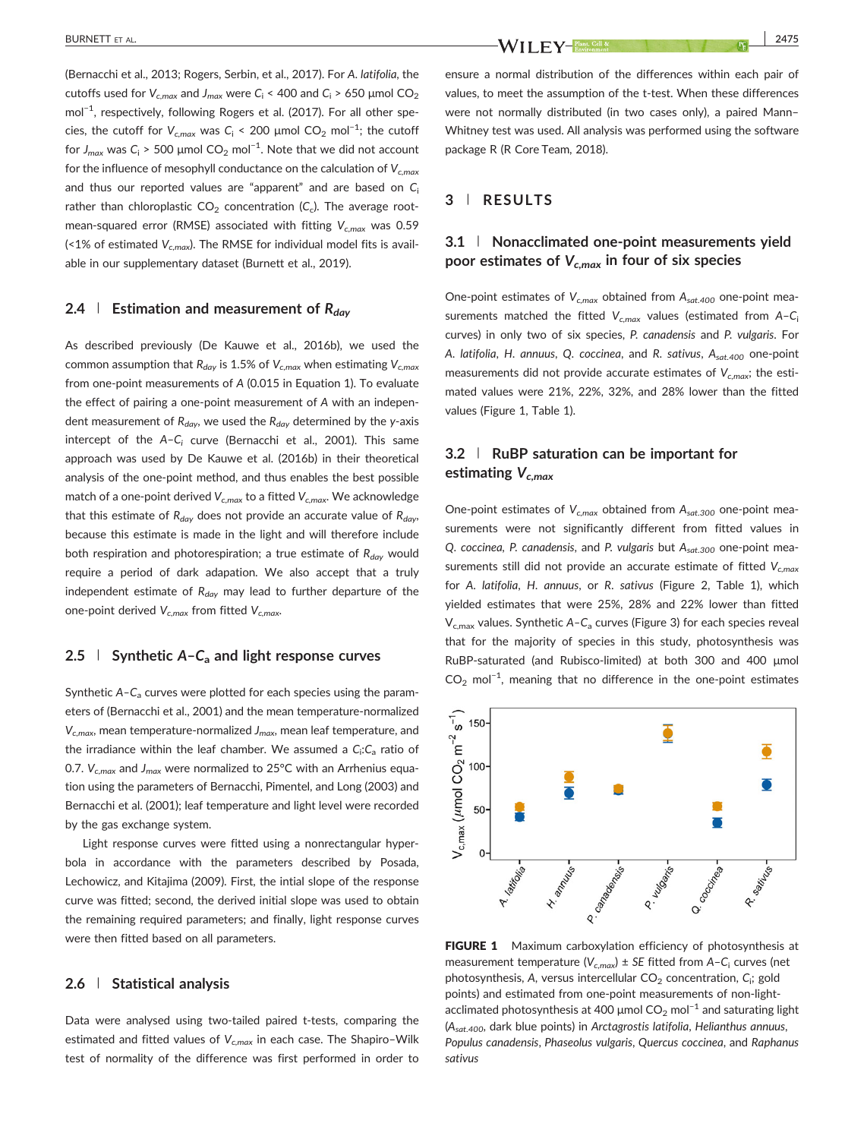(Bernacchi et al., 2013; Rogers, Serbin, et al., 2017). For A. latifolia, the cutoffs used for  $V_{c,max}$  and  $J_{max}$  were  $C_i$  < 400 and  $C_i$  > 650 µmol  $CO_2$ mol−<sup>1</sup> , respectively, following Rogers et al. (2017). For all other species, the cutoff for  $V_{c,max}$  was  $C_i$  < 200 µmol CO<sub>2</sub> mol<sup>-1</sup>; the cutoff for  $J_{\textit{max}}$  was C<sub>i</sub> > 500 µmol CO<sub>2</sub> mol<sup>−1</sup>. Note that we did not account for the influence of mesophyll conductance on the calculation of  $V_{c,max}$ and thus our reported values are "apparent" and are based on  $C_i$ rather than chloroplastic  $CO<sub>2</sub>$  concentration (C<sub>c</sub>). The average rootmean-squared error (RMSE) associated with fitting  $V_{c,max}$  was 0.59 (<1% of estimated  $V_{c,max}$ ). The RMSE for individual model fits is available in our supplementary dataset (Burnett et al., 2019).

### 2.4 | Estimation and measurement of  $R_{day}$

As described previously (De Kauwe et al., 2016b), we used the common assumption that  $R_{day}$  is 1.5% of  $V_{c,max}$  when estimating  $V_{c,max}$ from one‐point measurements of A (0.015 in Equation 1). To evaluate the effect of pairing a one‐point measurement of A with an independent measurement of  $R_{day}$ , we used the  $R_{day}$  determined by the y-axis intercept of the  $A-C_i$  curve (Bernacchi et al., 2001). This same approach was used by De Kauwe et al. (2016b) in their theoretical analysis of the one‐point method, and thus enables the best possible match of a one-point derived  $V_{c,max}$  to a fitted  $V_{c,max}$ . We acknowledge that this estimate of  $R_{day}$  does not provide an accurate value of  $R_{day}$ , because this estimate is made in the light and will therefore include both respiration and photorespiration; a true estimate of  $R_{\text{dav}}$  would require a period of dark adapation. We also accept that a truly independent estimate of  $R_{day}$  may lead to further departure of the one-point derived  $V_{c,max}$  from fitted  $V_{c,max}$ .

# 2.5 | Synthetic  $A - C_a$  and light response curves

Synthetic  $A - C_a$  curves were plotted for each species using the parameters of (Bernacchi et al., 2001) and the mean temperature‐normalized  $V_{c,max}$ , mean temperature-normalized  $J_{max}$ , mean leaf temperature, and the irradiance within the leaf chamber. We assumed a  $C_{\mathsf{i}}$ : $C_{\mathsf{a}}$  ratio of 0.7.  $V_{c,max}$  and  $J_{max}$  were normalized to 25°C with an Arrhenius equation using the parameters of Bernacchi, Pimentel, and Long (2003) and Bernacchi et al. (2001); leaf temperature and light level were recorded by the gas exchange system.

Light response curves were fitted using a nonrectangular hyperbola in accordance with the parameters described by Posada, Lechowicz, and Kitajima (2009). First, the intial slope of the response curve was fitted; second, the derived initial slope was used to obtain the remaining required parameters; and finally, light response curves were then fitted based on all parameters.

#### 2.6 | Statistical analysis

Data were analysed using two-tailed paired t-tests, comparing the estimated and fitted values of  $V_{cmax}$  in each case. The Shapiro–Wilk test of normality of the difference was first performed in order to

ensure a normal distribution of the differences within each pair of values, to meet the assumption of the t-test. When these differences were not normally distributed (in two cases only), a paired Mann– Whitney test was used. All analysis was performed using the software package R (R Core Team, 2018).

## 3 | RESULTS

# 3.1 | Nonacclimated one-point measurements yield poor estimates of  $V_{c,max}$  in four of six species

One-point estimates of  $V_{c,max}$  obtained from  $A_{sat,400}$  one-point measurements matched the fitted  $V_{c,max}$  values (estimated from A-C<sub>i</sub> curves) in only two of six species, P. canadensis and P. vulgaris. For A. latifolia, H. annuus, Q. coccinea, and R. sativus,  $A_{sat,400}$  one-point measurements did not provide accurate estimates of  $V_{c,max}$ ; the estimated values were 21%, 22%, 32%, and 28% lower than the fitted values (Figure 1, Table 1).

# 3.2 | RuBP saturation can be important for estimating  $V_{c,max}$

One-point estimates of  $V_{c,max}$  obtained from  $A_{sat.300}$  one-point measurements were not significantly different from fitted values in Q. coccinea, P. canadensis, and P. vulgaris but Asat.300 one-point measurements still did not provide an accurate estimate of fitted  $V_{c,max}$ for A. latifolia, H. annuus, or R. sativus (Figure 2, Table 1), which yielded estimates that were 25%, 28% and 22% lower than fitted  $V_{c,max}$  values. Synthetic A-C<sub>a</sub> curves (Figure 3) for each species reveal that for the majority of species in this study, photosynthesis was RuBP‐saturated (and Rubisco‐limited) at both 300 and 400 μmol  $CO<sub>2</sub>$  mol<sup>-1</sup>, meaning that no difference in the one-point estimates



FIGURE 1 Maximum carboxylation efficiency of photosynthesis at measurement temperature ( $V_{c,max}$ ) ± SE fitted from A-C<sub>i</sub> curves (net photosynthesis, A, versus intercellular  $CO<sub>2</sub>$  concentration,  $C<sub>i</sub>$ ; gold points) and estimated from one-point measurements of non-lightacclimated photosynthesis at 400 µmol  $CO_2$  mol<sup>-1</sup> and saturating light ( $A<sub>sat.400</sub>$ , dark blue points) in Arctagrostis latifolia, Helianthus annuus, Populus canadensis, Phaseolus vulgaris, Quercus coccinea, and Raphanus sativus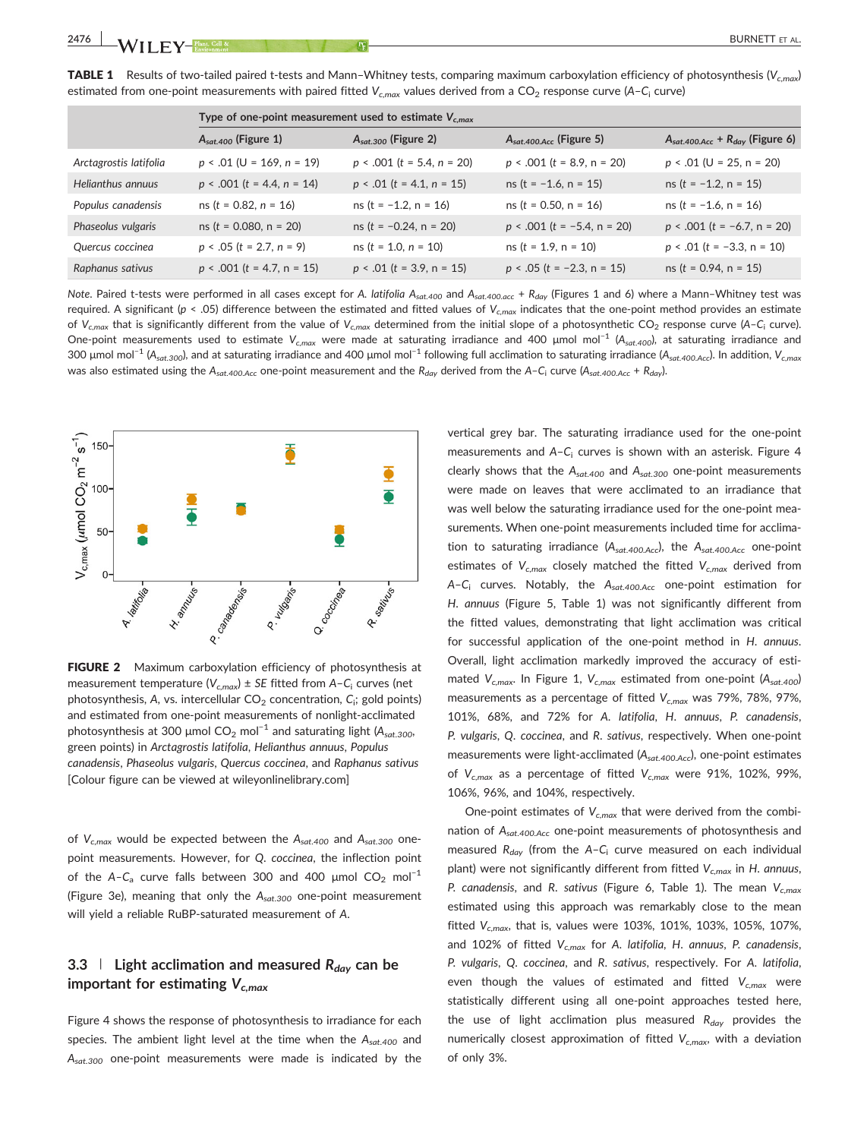|                        | Type of one-point measurement used to estimate $V_{c,max}$ |                                 |                                     |                                               |
|------------------------|------------------------------------------------------------|---------------------------------|-------------------------------------|-----------------------------------------------|
|                        | $A_{sat,400}$ (Figure 1)                                   | $A_{sat,300}$ (Figure 2)        | $A_{sat.400 \text{Acc}}$ (Figure 5) | $A_{sat.400 \text{Acc}} + R_{day}$ (Figure 6) |
| Arctagrostis latifolia | $p < .01$ (U = 169, n = 19)                                | $p \le 0.001$ (t = 5.4, n = 20) | $p < .001$ (t = 8.9, n = 20)        | $p \le 0.01$ (U = 25, n = 20)                 |
| Helianthus annuus      | $p \le 0.001$ (t = 4.4, n = 14)                            | $p \le 0.01$ (t = 4.1, n = 15)  | $ns$ (t = -1.6, n = 15)             | $ns(t = -1.2, n = 15)$                        |
| Populus canadensis     | $ns(t = 0.82, n = 16)$                                     | $ns$ (t = -1.2, n = 16)         | $ns$ ( $t = 0.50$ , $n = 16$ )      | $ns(t = -1.6, n = 16)$                        |
| Phaseolus vulgaris     | $ns$ ( $t = 0.080$ , $n = 20$ )                            | $ns(t = -0.24, n = 20)$         | $p < .001$ (t = -5.4, n = 20)       | $p \le 0.001$ (t = -6.7, n = 20)              |
| Quercus coccinea       | $p < .05$ (t = 2.7, n = 9)                                 | $ns(t = 1.0, n = 10)$           | $ns(t = 1.9, n = 10)$               | $p \le 0.01$ (t = -3.3, n = 10)               |
| Raphanus sativus       | $p \le 0.001$ (t = 4.7, n = 15)                            | $p \le 0.01$ (t = 3.9, n = 15)  | $p < .05$ (t = -2.3, n = 15)        | $ns$ ( $t = 0.94$ , $n = 15$ )                |

**TABLE 1** Results of two-tailed paired t-tests and Mann–Whitney tests, comparing maximum carboxylation efficiency of photosynthesis ( $V_{c,max}$ ) estimated from one-point measurements with paired fitted  $V_{cmax}$  values derived from a CO<sub>2</sub> response curve (A-C<sub>i</sub> curve)

Note. Paired t-tests were performed in all cases except for A. latifolia A<sub>sat.400</sub> and A<sub>sat.400.acc</sub> + R<sub>day</sub> (Figures 1 and 6) where a Mann-Whitney test was required. A significant (p < .05) difference between the estimated and fitted values of  $V_{cmax}$  indicates that the one-point method provides an estimate of V<sub>c,max</sub> that is significantly different from the value of V<sub>c,max</sub> determined from the initial slope of a photosynthetic CO<sub>2</sub> response curve (A-C<sub>i</sub> curve). One-point measurements used to estimate V<sub>c,max</sub> were made at saturating irradiance and 400 µmol mol<sup>-1</sup> (A<sub>sat.400</sub>), at saturating irradiance and 300 µmol mol<sup>-1</sup> (A<sub>sat.300</sub>), and at saturating irradiance and 400 µmol mol<sup>-1</sup> following full acclimation to saturating irradiance (A<sub>sat.400.Acc</sub>). In addition, V<sub>c,max</sub> was also estimated using the A<sub>sat.400.Acc</sub> one-point measurement and the R<sub>day</sub> derived from the A–C<sub>i</sub> curve (A<sub>sat.400.Acc</sub> + R<sub>day</sub>).



FIGURE 2 Maximum carboxylation efficiency of photosynthesis at measurement temperature ( $V_{c,max}$ ) ± SE fitted from A-C<sub>i</sub> curves (net photosynthesis, A, vs. intercellular  $\mathsf{CO}_2$  concentration,  $\mathsf{C}_\mathsf{i};$  gold points) and estimated from one‐point measurements of nonlight‐acclimated photosynthesis at 300 µmol  $CO_2$  mol<sup>-1</sup> and saturating light (A<sub>sat.300</sub>, green points) in Arctagrostis latifolia, Helianthus annuus, Populus canadensis, Phaseolus vulgaris, Quercus coccinea, and Raphanus sativus [Colour figure can be viewed at [wileyonlinelibrary.com\]](http://wileyonlinelibrary.com)

of  $V_{c,max}$  would be expected between the  $A_{sat.400}$  and  $A_{sat.300}$  onepoint measurements. However, for Q. coccinea, the inflection point of the A–C<sub>a</sub> curve falls between 300 and 400 µmol CO<sub>2</sub> mol<sup>-1</sup> (Figure 3e), meaning that only the  $A_{sat.300}$  one-point measurement will yield a reliable RuBP‐saturated measurement of A.

# 3.3 | Light acclimation and measured  $R_{day}$  can be important for estimating  $V_{c,max}$

Figure 4 shows the response of photosynthesis to irradiance for each species. The ambient light level at the time when the  $A_{sat,400}$  and  $A_{sat.300}$  one-point measurements were made is indicated by the

vertical grey bar. The saturating irradiance used for the one‐point measurements and  $A - C_i$  curves is shown with an asterisk. Figure 4 clearly shows that the  $A_{sat.400}$  and  $A_{sat.300}$  one-point measurements were made on leaves that were acclimated to an irradiance that was well below the saturating irradiance used for the one‐point measurements. When one‐point measurements included time for acclimation to saturating irradiance  $(A_{sat.400.Acc})$ , the  $A_{sat.400.Acc}$  one-point estimates of  $V_{c,max}$  closely matched the fitted  $V_{c,max}$  derived from A–C<sub>i</sub> curves. Notably, the  $A_{sat.400,Acc}$  one-point estimation for H. annuus (Figure 5, Table 1) was not significantly different from the fitted values, demonstrating that light acclimation was critical for successful application of the one-point method in H. annuus. Overall, light acclimation markedly improved the accuracy of estimated  $V_{c,max}$ . In Figure 1,  $V_{c,max}$  estimated from one-point (A<sub>sat.400</sub>) measurements as a percentage of fitted  $V_{c,max}$  was 79%, 78%, 97%, 101%, 68%, and 72% for A. latifolia, H. annuus, P. canadensis, P. vulgaris, Q. coccinea, and R. sativus, respectively. When one‐point measurements were light-acclimated (A<sub>sat.400.Acc</sub>), one-point estimates of  $V_{c,max}$  as a percentage of fitted  $V_{c,max}$  were 91%, 102%, 99%, 106%, 96%, and 104%, respectively.

One-point estimates of  $V_{c,max}$  that were derived from the combination of  $A_{sat,400,Acc}$  one-point measurements of photosynthesis and measured  $R_{day}$  (from the A-C<sub>i</sub> curve measured on each individual plant) were not significantly different from fitted  $V_{c,max}$  in H. annuus, P. canadensis, and R. sativus (Figure 6, Table 1). The mean  $V_{c,max}$ estimated using this approach was remarkably close to the mean fitted  $V_{c,max}$ , that is, values were 103%, 101%, 103%, 105%, 107%, and 102% of fitted  $V_{c,max}$  for A. latifolia, H. annuus, P. canadensis, P. vulgaris, Q. coccinea, and R. sativus, respectively. For A. latifolia, even though the values of estimated and fitted  $V_{c,max}$  were statistically different using all one‐point approaches tested here, the use of light acclimation plus measured  $R_{day}$  provides the numerically closest approximation of fitted  $V_{c,max}$ , with a deviation of only 3%.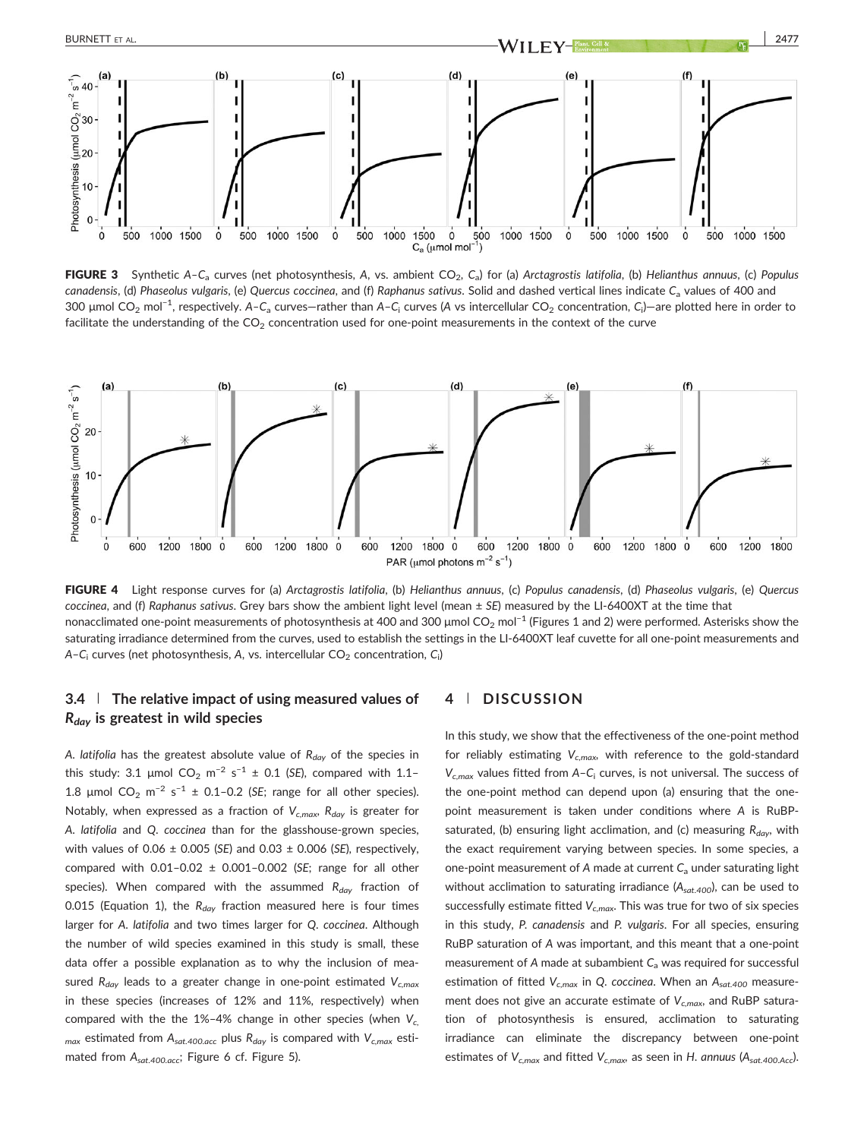

FIGURE 3 Synthetic A-C<sub>a</sub> curves (net photosynthesis, A, vs. ambient CO<sub>2</sub>, C<sub>a</sub>) for (a) Arctagrostis latifolia, (b) Helianthus annuus, (c) Populus canadensis, (d) Phaseolus vulgaris, (e) Quercus coccinea, and (f) Raphanus sativus. Solid and dashed vertical lines indicate C<sub>a</sub> values of 400 and 300 μmol CO<sub>2</sub> mol<sup>−1</sup>, respectively. A–C<sub>a</sub> curves—rather than A–C<sub>i</sub> curves (A vs intercellular CO<sub>2</sub> concentration, C<sub>i</sub>)—are plotted here in order to facilitate the understanding of the  $CO<sub>2</sub>$  concentration used for one-point measurements in the context of the curve



FIGURE 4 Light response curves for (a) Arctagrostis latifolia, (b) Helianthus annuus, (c) Populus canadensis, (d) Phaseolus vulgaris, (e) Quercus coccinea, and (f) Raphanus sativus. Grey bars show the ambient light level (mean ± SE) measured by the LI-6400XT at the time that nonacclimated one-point measurements of photosynthesis at 400 and 300 µmol  $CO<sub>2</sub>$  mol<sup>-1</sup> (Figures 1 and 2) were performed. Asterisks show the saturating irradiance determined from the curves, used to establish the settings in the LI-6400XT leaf cuvette for all one-point measurements and A–C $_{\mathsf{i}}$  curves (net photosynthesis, A, vs. intercellular CO $_{2}$  concentration, C $_{\mathsf{i}}$ )

# 3.4 The relative impact of using measured values of  $R_{day}$  is greatest in wild species

A. latifolia has the greatest absolute value of  $R_{day}$  of the species in this study: 3.1 µmol  $CO_2$  m<sup>-2</sup> s<sup>-1</sup> ± 0.1 (SE), compared with 1.1-1.8 µmol  $CO_2$  m<sup>-2</sup> s<sup>-1</sup> ± 0.1-0.2 (SE; range for all other species). Notably, when expressed as a fraction of  $V_{cmax}$ ,  $R_{day}$  is greater for A. latifolia and Q. coccinea than for the glasshouse‐grown species, with values of 0.06  $\pm$  0.005 (SE) and 0.03  $\pm$  0.006 (SE), respectively, compared with  $0.01-0.02 \pm 0.001-0.002$  (SE; range for all other species). When compared with the assummed  $R_{day}$  fraction of 0.015 (Equation 1), the  $R_{day}$  fraction measured here is four times larger for A. latifolia and two times larger for Q. coccinea. Although the number of wild species examined in this study is small, these data offer a possible explanation as to why the inclusion of measured  $R_{day}$  leads to a greater change in one-point estimated  $V_{c,max}$ in these species (increases of 12% and 11%, respectively) when compared with the the 1%-4% change in other species (when  $V_c$  $_{max}$  estimated from  $A_{sat.400,acc}$  plus  $R_{day}$  is compared with  $V_{c,max}$  estimated from A<sub>sat.400.acc</sub>; Figure 6 cf. Figure 5).

## 4 | DISCUSSION

In this study, we show that the effectiveness of the one‐point method for reliably estimating  $V_{cmax}$ , with reference to the gold-standard  $V_{c,max}$  values fitted from A-C<sub>i</sub> curves, is not universal. The success of the one‐point method can depend upon (a) ensuring that the one‐ point measurement is taken under conditions where A is RuBP‐ saturated, (b) ensuring light acclimation, and (c) measuring  $R_{day}$ , with the exact requirement varying between species. In some species, a one-point measurement of A made at current  $C_a$  under saturating light without acclimation to saturating irradiance  $(A_{sat.400})$ , can be used to successfully estimate fitted  $V_{c,max}$ . This was true for two of six species in this study, P. canadensis and P. vulgaris. For all species, ensuring RuBP saturation of A was important, and this meant that a one‐point measurement of A made at subambient  $C_a$  was required for successful estimation of fitted  $V_{c,max}$  in Q. coccinea. When an  $A_{sat.400}$  measurement does not give an accurate estimate of  $V_{c,max}$ , and RuBP saturation of photosynthesis is ensured, acclimation to saturating irradiance can eliminate the discrepancy between one‐point estimates of  $V_{c,max}$  and fitted  $V_{c,max}$ , as seen in H. annuus (A<sub>sat.400.Acc</sub>).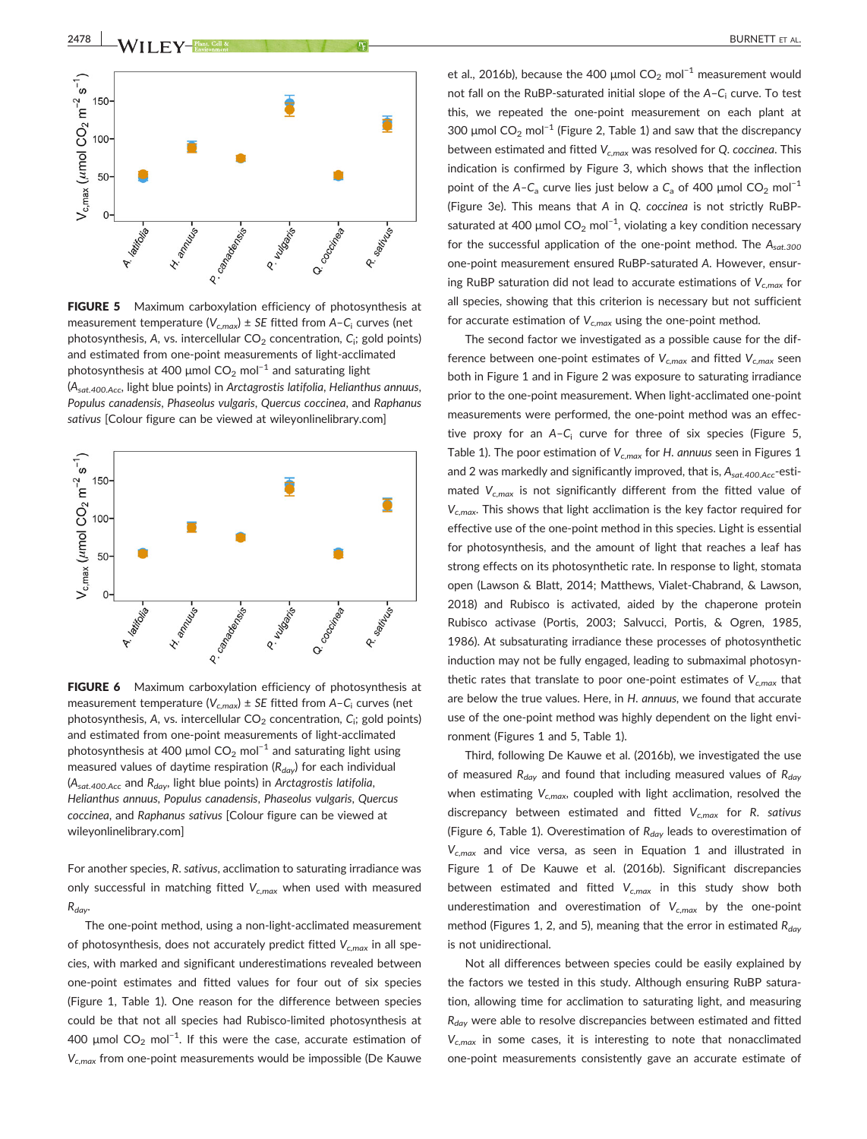



FIGURE 5 Maximum carboxylation efficiency of photosynthesis at measurement temperature ( $V_{c,max}$ ) ± SE fitted from A-C<sub>i</sub> curves (net photosynthesis, A, vs. intercellular  $\mathsf{CO}_2$  concentration,  $\mathsf{C}_\mathsf{i};$  gold points) and estimated from one‐point measurements of light‐acclimated photosynthesis at 400 µmol  $CO<sub>2</sub>$  mol<sup>-1</sup> and saturating light  $(A<sub>sat.400.Acc</sub>, light blue points)$  in Arctagrostis latifolia, Helianthus annuus, Populus canadensis, Phaseolus vulgaris, Quercus coccinea, and Raphanus sativus [Colour figure can be viewed at [wileyonlinelibrary.com](http://wileyonlinelibrary.com)]



FIGURE 6 Maximum carboxylation efficiency of photosynthesis at measurement temperature ( $V_{c,max}$ )  $\pm$  SE fitted from A-C<sub>i</sub> curves (net photosynthesis, A, vs. intercellular  $\mathsf{CO}_2$  concentration,  $\mathsf{C}_\mathsf{i};$  gold points) and estimated from one‐point measurements of light‐acclimated photosynthesis at 400 µmol  $CO_2$  mol<sup>-1</sup> and saturating light using measured values of daytime respiration ( $R_{day}$ ) for each individual  $(A<sub>sat.400.Acc</sub>$  and  $R<sub>day</sub>$ , light blue points) in Arctagrostis latifolia, Helianthus annuus, Populus canadensis, Phaseolus vulgaris, Quercus coccinea, and Raphanus sativus [Colour figure can be viewed at [wileyonlinelibrary.com](http://wileyonlinelibrary.com)]

For another species, R. sativus, acclimation to saturating irradiance was only successful in matching fitted  $V_{c,max}$  when used with measured  $R_{day}$ 

The one‐point method, using a non‐light‐acclimated measurement of photosynthesis, does not accurately predict fitted  $V_{c,max}$  in all species, with marked and significant underestimations revealed between one‐point estimates and fitted values for four out of six species (Figure 1, Table 1). One reason for the difference between species could be that not all species had Rubisco‐limited photosynthesis at 400  $\mu$ mol CO<sub>2</sub> mol<sup>-1</sup>. If this were the case, accurate estimation of  $V_{c,max}$  from one-point measurements would be impossible (De Kauwe

et al., 2016b), because the 400 µmol  $CO<sub>2</sub>$  mol<sup>-1</sup> measurement would not fall on the RuBP-saturated initial slope of the  $A-C<sub>i</sub>$  curve. To test this, we repeated the one‐point measurement on each plant at 300  $\mu$ mol CO<sub>2</sub> mol<sup>-1</sup> (Figure 2, Table 1) and saw that the discrepancy between estimated and fitted  $V_{cmax}$  was resolved for Q. coccinea. This indication is confirmed by Figure 3, which shows that the inflection point of the A–C<sub>a</sub> curve lies just below a C<sub>a</sub> of 400 µmol CO<sub>2</sub> mol<sup>-1</sup> (Figure 3e). This means that A in Q. coccinea is not strictly RuBP‐ saturated at 400 µmol CO<sub>2</sub> mol<sup>−1</sup>, violating a key condition necessary for the successful application of the one-point method. The  $A_{sat,300}$ one‐point measurement ensured RuBP‐saturated A. However, ensuring RuBP saturation did not lead to accurate estimations of  $V_{c,max}$  for all species, showing that this criterion is necessary but not sufficient for accurate estimation of  $V_{c,max}$  using the one-point method.

The second factor we investigated as a possible cause for the difference between one-point estimates of  $V_{c,max}$  and fitted  $V_{c,max}$  seen both in Figure 1 and in Figure 2 was exposure to saturating irradiance prior to the one‐point measurement. When light‐acclimated one‐point measurements were performed, the one‐point method was an effective proxy for an  $A-C_i$  curve for three of six species (Figure 5, Table 1). The poor estimation of  $V_{c,max}$  for H. annuus seen in Figures 1 and 2 was markedly and significantly improved, that is,  $A_{sat.400.Acc}$ -estimated  $V_{c,max}$  is not significantly different from the fitted value of  $V_{c,max}$ . This shows that light acclimation is the key factor required for effective use of the one‐point method in this species. Light is essential for photosynthesis, and the amount of light that reaches a leaf has strong effects on its photosynthetic rate. In response to light, stomata open (Lawson & Blatt, 2014; Matthews, Vialet‐Chabrand, & Lawson, 2018) and Rubisco is activated, aided by the chaperone protein Rubisco activase (Portis, 2003; Salvucci, Portis, & Ogren, 1985, 1986). At subsaturating irradiance these processes of photosynthetic induction may not be fully engaged, leading to submaximal photosynthetic rates that translate to poor one-point estimates of  $V_{c,max}$  that are below the true values. Here, in H. annuus, we found that accurate use of the one‐point method was highly dependent on the light environment (Figures 1 and 5, Table 1).

Third, following De Kauwe et al. (2016b), we investigated the use of measured  $R_{day}$  and found that including measured values of  $R_{day}$ when estimating  $V_{c,max}$ , coupled with light acclimation, resolved the discrepancy between estimated and fitted  $V_{c,max}$  for R. sativus (Figure 6, Table 1). Overestimation of  $R_{day}$  leads to overestimation of  $V_{c,max}$  and vice versa, as seen in Equation 1 and illustrated in Figure 1 of De Kauwe et al. (2016b). Significant discrepancies between estimated and fitted  $V_{c,max}$  in this study show both underestimation and overestimation of  $V_{c,max}$  by the one-point method (Figures 1, 2, and 5), meaning that the error in estimated  $R_{day}$ is not unidirectional.

Not all differences between species could be easily explained by the factors we tested in this study. Although ensuring RuBP saturation, allowing time for acclimation to saturating light, and measuring  $R_{day}$  were able to resolve discrepancies between estimated and fitted  $V_{c,max}$  in some cases, it is interesting to note that nonacclimated one‐point measurements consistently gave an accurate estimate of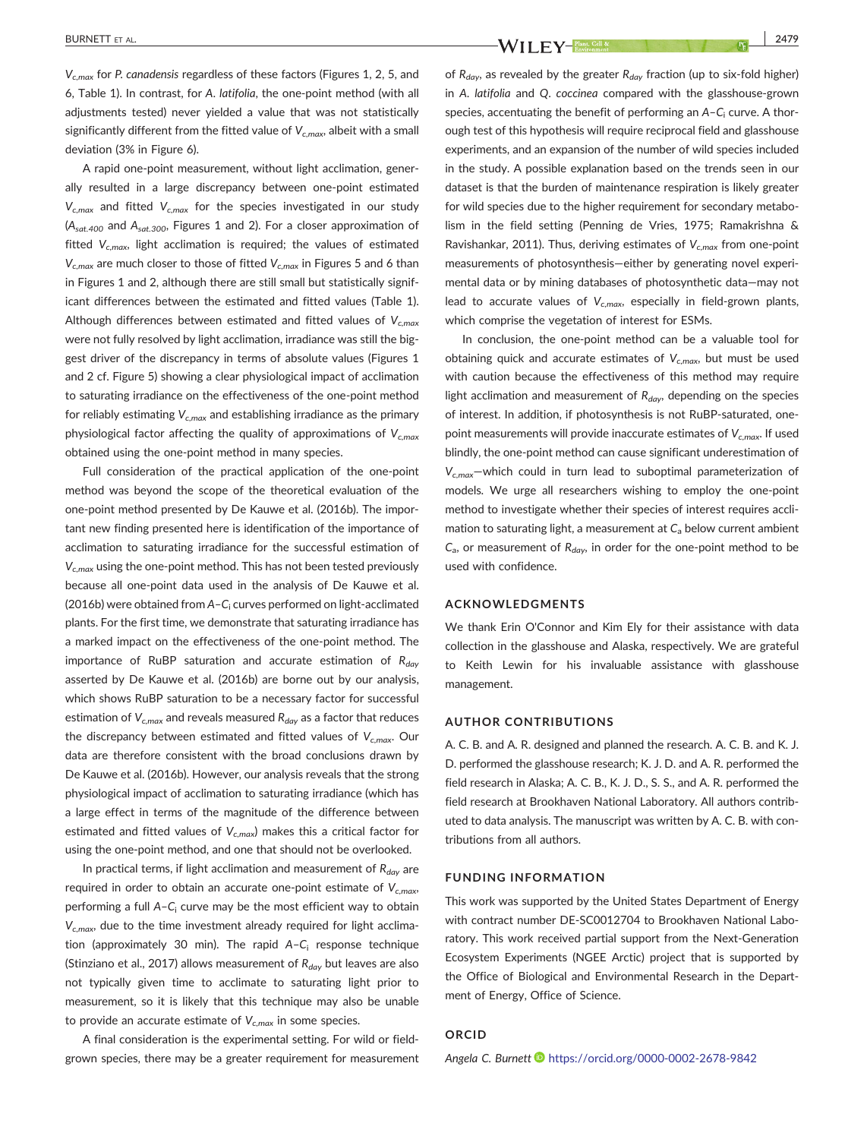$V_{c,max}$  for P. canadensis regardless of these factors (Figures 1, 2, 5, and 6, Table 1). In contrast, for A. latifolia, the one‐point method (with all adjustments tested) never yielded a value that was not statistically significantly different from the fitted value of  $V_{c,max}$ , albeit with a small deviation (3% in Figure 6).

A rapid one‐point measurement, without light acclimation, generally resulted in a large discrepancy between one‐point estimated  $V_{c,max}$  and fitted  $V_{c,max}$  for the species investigated in our study  $(A<sub>sat.400</sub>$  and  $A<sub>sat.300</sub>$ , Figures 1 and 2). For a closer approximation of fitted  $V_{c,max}$ , light acclimation is required; the values of estimated  $V_{c,max}$  are much closer to those of fitted  $V_{c,max}$  in Figures 5 and 6 than in Figures 1 and 2, although there are still small but statistically significant differences between the estimated and fitted values (Table 1). Although differences between estimated and fitted values of  $V_{c,max}$ were not fully resolved by light acclimation, irradiance was still the biggest driver of the discrepancy in terms of absolute values (Figures 1 and 2 cf. Figure 5) showing a clear physiological impact of acclimation to saturating irradiance on the effectiveness of the one‐point method for reliably estimating  $V_{c,max}$  and establishing irradiance as the primary physiological factor affecting the quality of approximations of  $V_{c,max}$ obtained using the one‐point method in many species.

Full consideration of the practical application of the one‐point method was beyond the scope of the theoretical evaluation of the one‐point method presented by De Kauwe et al. (2016b). The important new finding presented here is identification of the importance of acclimation to saturating irradiance for the successful estimation of  $V_{c,max}$  using the one-point method. This has not been tested previously because all one‐point data used in the analysis of De Kauwe et al. (2016b) were obtained from A-C<sub>i</sub> curves performed on light-acclimated plants. For the first time, we demonstrate that saturating irradiance has a marked impact on the effectiveness of the one‐point method. The importance of RuBP saturation and accurate estimation of  $R_{day}$ asserted by De Kauwe et al. (2016b) are borne out by our analysis, which shows RuBP saturation to be a necessary factor for successful estimation of  $V_{c,max}$  and reveals measured  $R_{day}$  as a factor that reduces the discrepancy between estimated and fitted values of  $V_{c,max}$ . Our data are therefore consistent with the broad conclusions drawn by De Kauwe et al. (2016b). However, our analysis reveals that the strong physiological impact of acclimation to saturating irradiance (which has a large effect in terms of the magnitude of the difference between estimated and fitted values of  $V_{c,max}$ ) makes this a critical factor for using the one‐point method, and one that should not be overlooked.

In practical terms, if light acclimation and measurement of  $R_{day}$  are required in order to obtain an accurate one-point estimate of  $V_{c,max}$ , performing a full  $A - C_i$  curve may be the most efficient way to obtain  $V_{c,max}$ , due to the time investment already required for light acclimation (approximately 30 min). The rapid  $A-C_i$  response technique (Stinziano et al., 2017) allows measurement of  $R_{day}$  but leaves are also not typically given time to acclimate to saturating light prior to measurement, so it is likely that this technique may also be unable to provide an accurate estimate of  $V_{c,max}$  in some species.

A final consideration is the experimental setting. For wild or field‐ grown species, there may be a greater requirement for measurement

BURNETT ET AL. 2479

of  $R_{day}$ , as revealed by the greater  $R_{day}$  fraction (up to six-fold higher) in A. latifolia and Q. coccinea compared with the glasshouse-grown species, accentuating the benefit of performing an  $A-C<sub>i</sub>$  curve. A thorough test of this hypothesis will require reciprocal field and glasshouse experiments, and an expansion of the number of wild species included in the study. A possible explanation based on the trends seen in our dataset is that the burden of maintenance respiration is likely greater for wild species due to the higher requirement for secondary metabolism in the field setting (Penning de Vries, 1975; Ramakrishna & Ravishankar, 2011). Thus, deriving estimates of  $V_{c,max}$  from one-point measurements of photosynthesis—either by generating novel experimental data or by mining databases of photosynthetic data—may not lead to accurate values of  $V_{c,max}$ , especially in field-grown plants, which comprise the vegetation of interest for ESMs.

In conclusion, the one-point method can be a valuable tool for obtaining quick and accurate estimates of  $V_{c,max}$ , but must be used with caution because the effectiveness of this method may require light acclimation and measurement of  $R_{day}$ , depending on the species of interest. In addition, if photosynthesis is not RuBP‐saturated, one‐ point measurements will provide inaccurate estimates of  $V_{c,max}$ . If used blindly, the one‐point method can cause significant underestimation of  $V_{c,max}$ -which could in turn lead to suboptimal parameterization of models. We urge all researchers wishing to employ the one‐point method to investigate whether their species of interest requires acclimation to saturating light, a measurement at  $C_a$  below current ambient  $C_{a}$ , or measurement of  $R_{day}$ , in order for the one-point method to be used with confidence.

#### ACKNOWLEDGMENTS

We thank Erin O'Connor and Kim Ely for their assistance with data collection in the glasshouse and Alaska, respectively. We are grateful to Keith Lewin for his invaluable assistance with glasshouse management.

### AUTHOR CONTRIBUTIONS

A. C. B. and A. R. designed and planned the research. A. C. B. and K. J. D. performed the glasshouse research; K. J. D. and A. R. performed the field research in Alaska; A. C. B., K. J. D., S. S., and A. R. performed the field research at Brookhaven National Laboratory. All authors contributed to data analysis. The manuscript was written by A. C. B. with contributions from all authors.

#### FUNDING INFORMATION

This work was supported by the United States Department of Energy with contract number DE‐SC0012704 to Brookhaven National Laboratory. This work received partial support from the Next-Generation Ecosystem Experiments (NGEE Arctic) project that is supported by the Office of Biological and Environmental Research in the Department of Energy, Office of Science.

#### ORCID

Angela C. Burnett <https://orcid.org/0000-0002-2678-9842>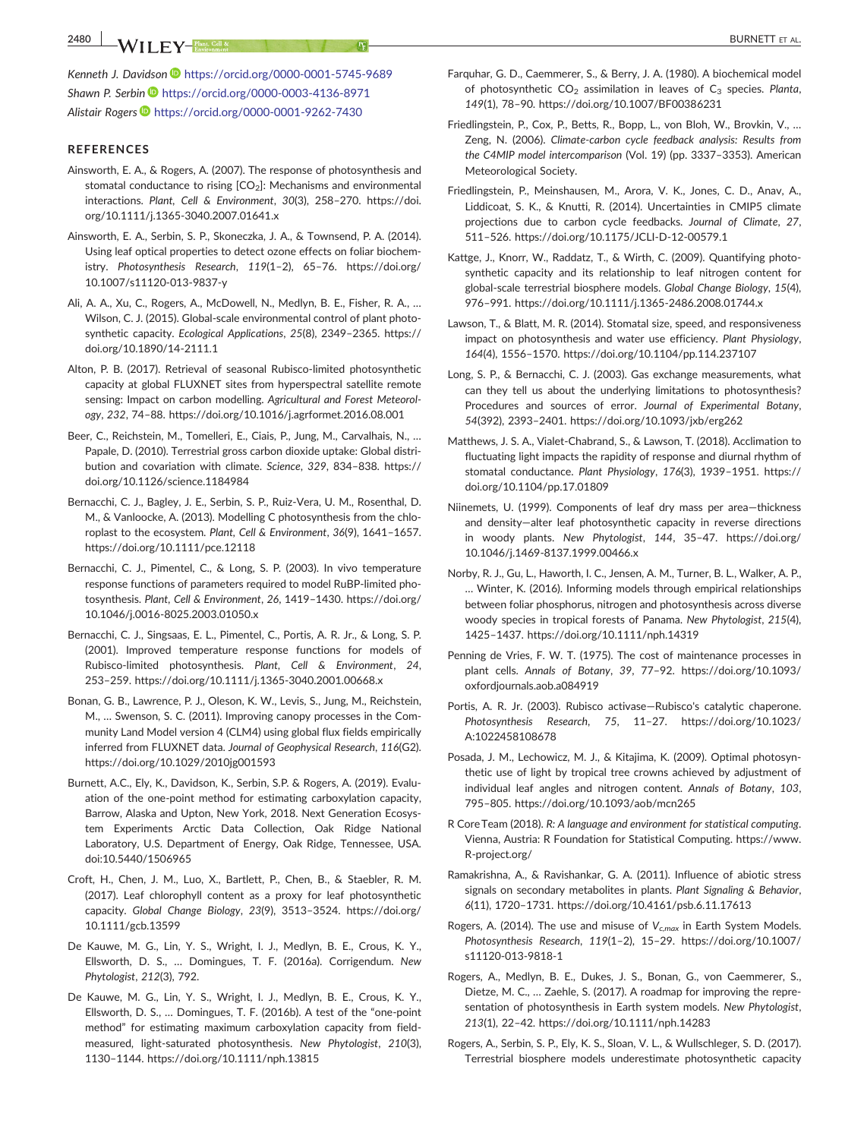#### REFERENCES

- Ainsworth, E. A., & Rogers, A. (2007). The response of photosynthesis and stomatal conductance to rising  $[CO<sub>2</sub>]$ : Mechanisms and environmental interactions. Plant, Cell & Environment, 30(3), 258–270. [https://doi.](https://doi.org/10.1111/j.1365-3040.2007.01641.x) [org/10.1111/j.1365](https://doi.org/10.1111/j.1365-3040.2007.01641.x)‐3040.2007.01641.x
- Ainsworth, E. A., Serbin, S. P., Skoneczka, J. A., & Townsend, P. A. (2014). Using leaf optical properties to detect ozone effects on foliar biochemistry. Photosynthesis Research, 119(1–2), 65–76. [https://doi.org/](https://doi.org/10.1007/s11120-013-9837-y) [10.1007/s11120](https://doi.org/10.1007/s11120-013-9837-y)‐013‐9837‐y
- Ali, A. A., Xu, C., Rogers, A., McDowell, N., Medlyn, B. E., Fisher, R. A., … Wilson, C. J. (2015). Global-scale environmental control of plant photosynthetic capacity. Ecological Applications, 25(8), 2349–2365. [https://](https://doi.org/10.1890/14-2111.1) [doi.org/10.1890/14](https://doi.org/10.1890/14-2111.1)‐2111.1
- Alton, P. B. (2017). Retrieval of seasonal Rubisco‐limited photosynthetic capacity at global FLUXNET sites from hyperspectral satellite remote sensing: Impact on carbon modelling. Agricultural and Forest Meteorology, 232, 74–88.<https://doi.org/10.1016/j.agrformet.2016.08.001>
- Beer, C., Reichstein, M., Tomelleri, E., Ciais, P., Jung, M., Carvalhais, N., … Papale, D. (2010). Terrestrial gross carbon dioxide uptake: Global distribution and covariation with climate. Science, 329, 834–838. [https://](https://doi.org/10.1126/science.1184984) [doi.org/10.1126/science.1184984](https://doi.org/10.1126/science.1184984)
- Bernacchi, C. J., Bagley, J. E., Serbin, S. P., Ruiz‐Vera, U. M., Rosenthal, D. M., & Vanloocke, A. (2013). Modelling C photosynthesis from the chloroplast to the ecosystem. Plant, Cell & Environment, 36(9), 1641–1657. <https://doi.org/10.1111/pce.12118>
- Bernacchi, C. J., Pimentel, C., & Long, S. P. (2003). In vivo temperature response functions of parameters required to model RuBP‐limited photosynthesis. Plant, Cell & Environment, 26, 1419–1430. [https://doi.org/](https://doi.org/10.1046/j.0016-8025.2003.01050.x) 10.1046/j.0016‐[8025.2003.01050.x](https://doi.org/10.1046/j.0016-8025.2003.01050.x)
- Bernacchi, C. J., Singsaas, E. L., Pimentel, C., Portis, A. R. Jr., & Long, S. P. (2001). Improved temperature response functions for models of Rubisco-limited photosynthesis. Plant, Cell & Environment, 24, 253–259. [https://doi.org/10.1111/j.1365](https://doi.org/10.1111/j.1365-3040.2001.00668.x)‐3040.2001.00668.x
- Bonan, G. B., Lawrence, P. J., Oleson, K. W., Levis, S., Jung, M., Reichstein, M., … Swenson, S. C. (2011). Improving canopy processes in the Community Land Model version 4 (CLM4) using global flux fields empirically inferred from FLUXNET data. Journal of Geophysical Research, 116(G2). <https://doi.org/10.1029/2010jg001593>
- Burnett, A.C., Ely, K., Davidson, K., Serbin, S.P. & Rogers, A. (2019). Evaluation of the one‐point method for estimating carboxylation capacity, Barrow, Alaska and Upton, New York, 2018. Next Generation Ecosystem Experiments Arctic Data Collection, Oak Ridge National Laboratory, U.S. Department of Energy, Oak Ridge, Tennessee, USA. doi:10.5440/1506965
- Croft, H., Chen, J. M., Luo, X., Bartlett, P., Chen, B., & Staebler, R. M. (2017). Leaf chlorophyll content as a proxy for leaf photosynthetic capacity. Global Change Biology, 23(9), 3513–3524. [https://doi.org/](https://doi.org/10.1111/gcb.13599) [10.1111/gcb.13599](https://doi.org/10.1111/gcb.13599)
- De Kauwe, M. G., Lin, Y. S., Wright, I. J., Medlyn, B. E., Crous, K. Y., Ellsworth, D. S., … Domingues, T. F. (2016a). Corrigendum. New Phytologist, 212(3), 792.
- De Kauwe, M. G., Lin, Y. S., Wright, I. J., Medlyn, B. E., Crous, K. Y., Ellsworth, D. S., … Domingues, T. F. (2016b). A test of the "one‐point method" for estimating maximum carboxylation capacity from field‐ measured, light‐saturated photosynthesis. New Phytologist, 210(3), 1130–1144.<https://doi.org/10.1111/nph.13815>
- Farquhar, G. D., Caemmerer, S., & Berry, J. A. (1980). A biochemical model of photosynthetic  $CO<sub>2</sub>$  assimilation in leaves of  $C<sub>3</sub>$  species. Planta, 149(1), 78–90.<https://doi.org/10.1007/BF00386231>
- Friedlingstein, P., Cox, P., Betts, R., Bopp, L., von Bloh, W., Brovkin, V., … Zeng, N. (2006). Climate‐carbon cycle feedback analysis: Results from the C4MIP model intercomparison (Vol. 19) (pp. 3337–3353). American Meteorological Society.
- Friedlingstein, P., Meinshausen, M., Arora, V. K., Jones, C. D., Anav, A., Liddicoat, S. K., & Knutti, R. (2014). Uncertainties in CMIP5 climate projections due to carbon cycle feedbacks. Journal of Climate, 27, 511–526. [https://doi.org/10.1175/JCLI](https://doi.org/10.1175/JCLI-D-12-00579.1)‐D‐12‐00579.1
- Kattge, J., Knorr, W., Raddatz, T., & Wirth, C. (2009). Quantifying photosynthetic capacity and its relationship to leaf nitrogen content for global‐scale terrestrial biosphere models. Global Change Biology, 15(4), 976–991. [https://doi.org/10.1111/j.1365](https://doi.org/10.1111/j.1365-2486.2008.01744.x)‐2486.2008.01744.x
- Lawson, T., & Blatt, M. R. (2014). Stomatal size, speed, and responsiveness impact on photosynthesis and water use efficiency. Plant Physiology, 164(4), 1556–1570.<https://doi.org/10.1104/pp.114.237107>
- Long, S. P., & Bernacchi, C. J. (2003). Gas exchange measurements, what can they tell us about the underlying limitations to photosynthesis? Procedures and sources of error. Journal of Experimental Botany, 54(392), 2393–2401.<https://doi.org/10.1093/jxb/erg262>
- Matthews, J. S. A., Vialet‐Chabrand, S., & Lawson, T. (2018). Acclimation to fluctuating light impacts the rapidity of response and diurnal rhythm of stomatal conductance. Plant Physiology, 176(3), 1939–1951. [https://](https://doi.org/10.1104/pp.17.01809) [doi.org/10.1104/pp.17.01809](https://doi.org/10.1104/pp.17.01809)
- Niinemets, U. (1999). Components of leaf dry mass per area—thickness and density—alter leaf photosynthetic capacity in reverse directions in woody plants. New Phytologist, 144, 35–47. [https://doi.org/](https://doi.org/10.1046/j.1469-8137.1999.00466.x) 10.1046/j.1469‐[8137.1999.00466.x](https://doi.org/10.1046/j.1469-8137.1999.00466.x)
- Norby, R. J., Gu, L., Haworth, I. C., Jensen, A. M., Turner, B. L., Walker, A. P., … Winter, K. (2016). Informing models through empirical relationships between foliar phosphorus, nitrogen and photosynthesis across diverse woody species in tropical forests of Panama. New Phytologist, 215(4), 1425–1437.<https://doi.org/10.1111/nph.14319>
- Penning de Vries, F. W. T. (1975). The cost of maintenance processes in plant cells. Annals of Botany, 39, 77–92. [https://doi.org/10.1093/](https://doi.org/10.1093/oxfordjournals.aob.a084919) [oxfordjournals.aob.a084919](https://doi.org/10.1093/oxfordjournals.aob.a084919)
- Portis, A. R. Jr. (2003). Rubisco activase—Rubisco's catalytic chaperone. Photosynthesis Research, 75, 11–27. [https://doi.org/10.1023/](https://doi.org/10.1023/A:1022458108678) [A:1022458108678](https://doi.org/10.1023/A:1022458108678)
- Posada, J. M., Lechowicz, M. J., & Kitajima, K. (2009). Optimal photosynthetic use of light by tropical tree crowns achieved by adjustment of individual leaf angles and nitrogen content. Annals of Botany, 103, 795–805.<https://doi.org/10.1093/aob/mcn265>
- R Core Team (2018). R: A language and environment for statistical computing. Vienna, Austria: R Foundation for Statistical Computing. [https://www.](https://www.R-project.org/) R‐[project.org/](https://www.R-project.org/)
- Ramakrishna, A., & Ravishankar, G. A. (2011). Influence of abiotic stress signals on secondary metabolites in plants. Plant Signaling & Behavior, 6(11), 1720–1731.<https://doi.org/10.4161/psb.6.11.17613>
- Rogers, A. (2014). The use and misuse of  $V_{c,max}$  in Earth System Models. Photosynthesis Research, 119(1–2), 15–29. [https://doi.org/10.1007/](https://doi.org/10.1007/s11120-013-9818-1) [s11120](https://doi.org/10.1007/s11120-013-9818-1)‐013‐9818‐1
- Rogers, A., Medlyn, B. E., Dukes, J. S., Bonan, G., von Caemmerer, S., Dietze, M. C., … Zaehle, S. (2017). A roadmap for improving the representation of photosynthesis in Earth system models. New Phytologist, 213(1), 22–42.<https://doi.org/10.1111/nph.14283>
- Rogers, A., Serbin, S. P., Ely, K. S., Sloan, V. L., & Wullschleger, S. D. (2017). Terrestrial biosphere models underestimate photosynthetic capacity